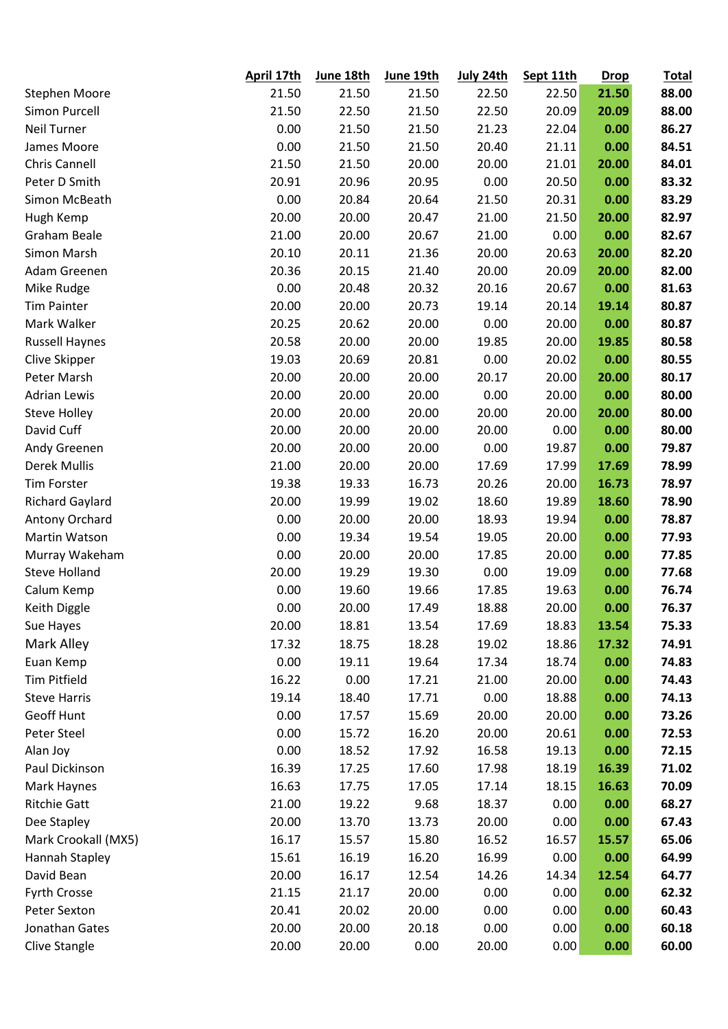|                        | April 17th | June 18th | June 19th | July 24th | Sept 11th | <b>Drop</b> | <b>Total</b> |
|------------------------|------------|-----------|-----------|-----------|-----------|-------------|--------------|
| Stephen Moore          | 21.50      | 21.50     | 21.50     | 22.50     | 22.50     | 21.50       | 88.00        |
| Simon Purcell          | 21.50      | 22.50     | 21.50     | 22.50     | 20.09     | 20.09       | 88.00        |
| Neil Turner            | 0.00       | 21.50     | 21.50     | 21.23     | 22.04     | 0.00        | 86.27        |
| James Moore            | 0.00       | 21.50     | 21.50     | 20.40     | 21.11     | 0.00        | 84.51        |
| Chris Cannell          | 21.50      | 21.50     | 20.00     | 20.00     | 21.01     | 20.00       | 84.01        |
| Peter D Smith          | 20.91      | 20.96     | 20.95     | 0.00      | 20.50     | 0.00        | 83.32        |
| Simon McBeath          | 0.00       | 20.84     | 20.64     | 21.50     | 20.31     | 0.00        | 83.29        |
| Hugh Kemp              | 20.00      | 20.00     | 20.47     | 21.00     | 21.50     | 20.00       | 82.97        |
| Graham Beale           | 21.00      | 20.00     | 20.67     | 21.00     | 0.00      | 0.00        | 82.67        |
| Simon Marsh            | 20.10      | 20.11     | 21.36     | 20.00     | 20.63     | 20.00       | 82.20        |
| Adam Greenen           | 20.36      | 20.15     | 21.40     | 20.00     | 20.09     | 20.00       | 82.00        |
| Mike Rudge             | 0.00       | 20.48     | 20.32     | 20.16     | 20.67     | 0.00        | 81.63        |
| <b>Tim Painter</b>     | 20.00      | 20.00     | 20.73     | 19.14     | 20.14     | 19.14       | 80.87        |
| Mark Walker            | 20.25      | 20.62     | 20.00     | 0.00      | 20.00     | 0.00        | 80.87        |
| <b>Russell Haynes</b>  | 20.58      | 20.00     | 20.00     | 19.85     | 20.00     | 19.85       | 80.58        |
| Clive Skipper          | 19.03      | 20.69     | 20.81     | 0.00      | 20.02     | 0.00        | 80.55        |
| Peter Marsh            | 20.00      | 20.00     | 20.00     | 20.17     | 20.00     | 20.00       | 80.17        |
| <b>Adrian Lewis</b>    | 20.00      | 20.00     | 20.00     | 0.00      | 20.00     | 0.00        | 80.00        |
| <b>Steve Holley</b>    | 20.00      | 20.00     | 20.00     | 20.00     | 20.00     | 20.00       | 80.00        |
| David Cuff             | 20.00      | 20.00     | 20.00     | 20.00     | 0.00      | 0.00        | 80.00        |
| Andy Greenen           | 20.00      | 20.00     | 20.00     | 0.00      | 19.87     | 0.00        | 79.87        |
| <b>Derek Mullis</b>    | 21.00      | 20.00     | 20.00     | 17.69     | 17.99     | 17.69       | 78.99        |
| <b>Tim Forster</b>     | 19.38      | 19.33     | 16.73     | 20.26     | 20.00     | 16.73       | 78.97        |
| <b>Richard Gaylard</b> | 20.00      | 19.99     | 19.02     | 18.60     | 19.89     | 18.60       | 78.90        |
| Antony Orchard         | 0.00       | 20.00     | 20.00     | 18.93     | 19.94     | 0.00        | 78.87        |
| Martin Watson          | 0.00       | 19.34     | 19.54     | 19.05     | 20.00     | 0.00        | 77.93        |
| Murray Wakeham         | 0.00       | 20.00     | 20.00     | 17.85     | 20.00     | 0.00        | 77.85        |
| <b>Steve Holland</b>   | 20.00      | 19.29     | 19.30     | 0.00      | 19.09     | 0.00        | 77.68        |
| Calum Kemp             | 0.00       | 19.60     | 19.66     | 17.85     | 19.63     | 0.00        | 76.74        |
| Keith Diggle           | 0.00       | 20.00     | 17.49     | 18.88     | 20.00     | 0.00        | 76.37        |
| Sue Hayes              | 20.00      | 18.81     | 13.54     | 17.69     | 18.83     | 13.54       | 75.33        |
| Mark Alley             | 17.32      | 18.75     | 18.28     | 19.02     | 18.86     | 17.32       | 74.91        |
| Euan Kemp              | 0.00       | 19.11     | 19.64     | 17.34     | 18.74     | 0.00        | 74.83        |
| <b>Tim Pitfield</b>    | 16.22      | 0.00      | 17.21     | 21.00     | 20.00     | 0.00        | 74.43        |
| <b>Steve Harris</b>    | 19.14      | 18.40     | 17.71     | 0.00      | 18.88     | 0.00        | 74.13        |
| Geoff Hunt             | 0.00       | 17.57     | 15.69     | 20.00     | 20.00     | 0.00        | 73.26        |
| Peter Steel            | 0.00       | 15.72     | 16.20     | 20.00     | 20.61     | 0.00        | 72.53        |
| Alan Joy               | 0.00       | 18.52     | 17.92     | 16.58     | 19.13     | 0.00        | 72.15        |
| Paul Dickinson         | 16.39      | 17.25     | 17.60     | 17.98     | 18.19     | 16.39       | 71.02        |
| Mark Haynes            | 16.63      | 17.75     | 17.05     | 17.14     | 18.15     | 16.63       | 70.09        |
| <b>Ritchie Gatt</b>    | 21.00      | 19.22     | 9.68      | 18.37     | 0.00      | 0.00        | 68.27        |
| Dee Stapley            | 20.00      | 13.70     | 13.73     | 20.00     | 0.00      | 0.00        | 67.43        |
| Mark Crookall (MX5)    | 16.17      | 15.57     | 15.80     | 16.52     | 16.57     | 15.57       | 65.06        |
| Hannah Stapley         | 15.61      | 16.19     | 16.20     | 16.99     | 0.00      | 0.00        | 64.99        |
| David Bean             | 20.00      | 16.17     | 12.54     | 14.26     | 14.34     | 12.54       | 64.77        |
| Fyrth Crosse           | 21.15      | 21.17     | 20.00     | 0.00      | 0.00      | 0.00        | 62.32        |
| Peter Sexton           | 20.41      | 20.02     | 20.00     | 0.00      | 0.00      | 0.00        | 60.43        |
| Jonathan Gates         | 20.00      | 20.00     | 20.18     | 0.00      | 0.00      | 0.00        | 60.18        |
| Clive Stangle          | 20.00      | 20.00     | 0.00      | 20.00     | 0.00      | 0.00        | 60.00        |